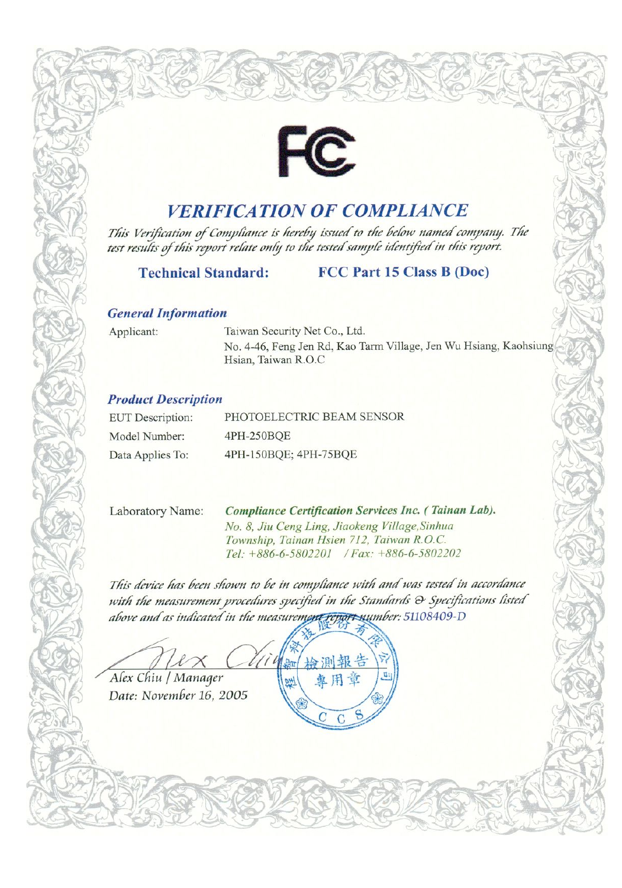

## **VERIFICATION OF COMPLIANCE**

This Verification of Compliance is hereby issued to the below named company. The test results of this report relate only to the tested sample identified in this report.

#### **Technical Standard:** FCC Part 15 Class B (Doc)

#### **General Information**

Applicant:

Taiwan Security Net Co., Ltd. No. 4-46, Feng Jen Rd, Kao Tarm Village, Jen Wu Hsiang, Kaohsiung Hsian, Taiwan R.O.C

### **Product Description**

| <b>EUT</b> Description: | PHOTOELECTRIC BEAM SENSOR |  |
|-------------------------|---------------------------|--|
| Model Number:           | 4PH-250BQE                |  |
| Data Applies To:        | 4PH-150BQE; 4PH-75BQE     |  |

Laboratory Name:

Compliance Certification Services Inc. (Tainan Lab). No. 8, Jiu Ceng Ling, Jiaokeng Village, Sinhua Township, Tainan Hsien 712, Taiwan R.O.C. Tel: +886-6-5802201 / Fax: +886-6-5802202

This device has been shown to be in compliance with and was tested in accordance with the measurement procedures specified in the Standards & Specifications listed above and as indicated in the measurement report number: 51108409-D

細 检测報告

車用章

C

Alex Chiu / Manager

Date: November 16, 2005